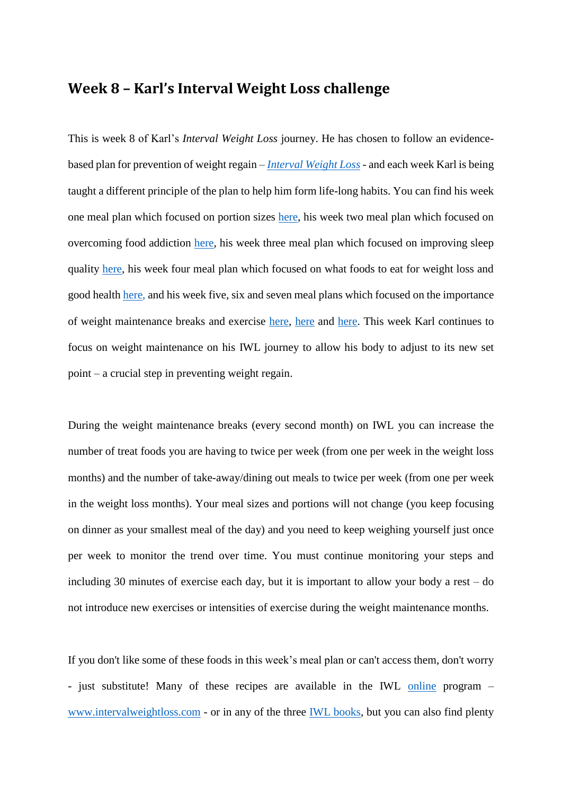# **Week 8 – Karl's Interval Weight Loss challenge**

This is week 8 of Karl's *Interval Weight Loss* journey. He has chosen to follow an evidencebased plan for prevention of weight regain – *[Interval Weight Loss](https://intervalweightloss.com.au/)* - and each week Karl is being taught a different principle of the plan to help him form life-long habits. You can find his week one meal plan which focused on portion sizes [here,](https://9now.nine.com.au/today/karl-stefanovic-weight-loss-challenge-today-host-weighs-himself-on-air/36788c11-b60f-4796-a4a6-280a5c9165f0) his week two meal plan which focused on overcoming food addiction [here,](https://prod.static9.net.au/fs/4e5d4d23-5cff-4fb7-80fe-26a9eef50654) his week three meal plan which focused on improving sleep quality [here,](https://prod.static9.net.au/fs/1e3e7aa1-768b-4a81-a9c3-7af85888557c) his week four meal plan which focused on what foods to eat for weight loss and good health [here,](https://prod.static9.net.au/fs/19e3ed33-d00d-495c-b4ee-760d3d987d9c) and his week five, six and seven meal plans which focused on the importance of weight maintenance breaks and exercise [here,](https://prod.static9.net.au/fs/d30b38bf-d42a-4d97-b66c-fb1aa3ecc149) [here](https://prod.static9.net.au/fs/eee0f8b4-1e0d-49b9-9c0c-36d04b18d3d6) and [here.](https://prod.static9.net.au/fs/436c5d7f-0ebb-4cae-80be-d50380064914) This week Karl continues to focus on weight maintenance on his IWL journey to allow his body to adjust to its new set point – a crucial step in preventing weight regain.

During the weight maintenance breaks (every second month) on IWL you can increase the number of treat foods you are having to twice per week (from one per week in the weight loss months) and the number of take-away/dining out meals to twice per week (from one per week in the weight loss months). Your meal sizes and portions will not change (you keep focusing on dinner as your smallest meal of the day) and you need to keep weighing yourself just once per week to monitor the trend over time. You must continue monitoring your steps and including 30 minutes of exercise each day, but it is important to allow your body a rest – do not introduce new exercises or intensities of exercise during the weight maintenance months.

If you don't like some of these foods in this week's meal plan or can't access them, don't worry - just substitute! Many of these recipes are available in the IWL [online](https://intervalweightloss.com/) program – [www.intervalweightloss.com](http://www.intervalweightloss.com/) - or in any of the three [IWL books,](http://www.intervalweightloss.com.au/) but you can also find plenty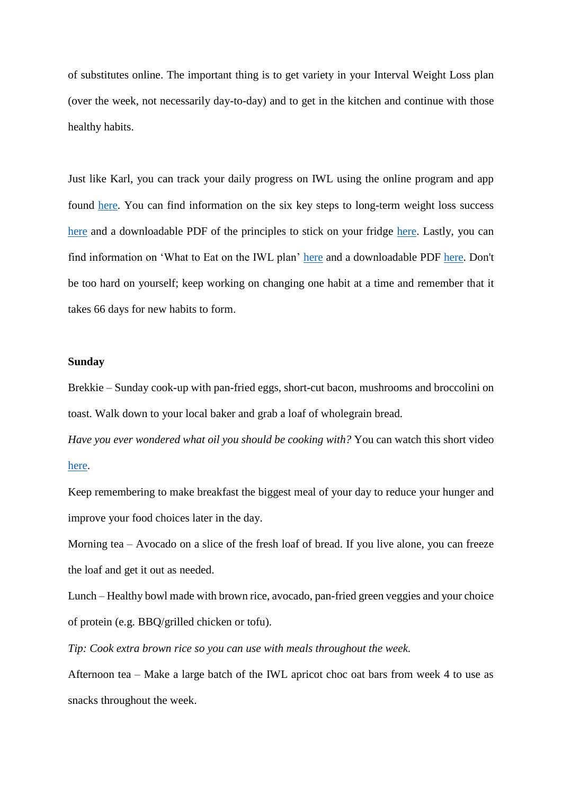of substitutes online. The important thing is to get variety in your Interval Weight Loss plan (over the week, not necessarily day-to-day) and to get in the kitchen and continue with those healthy habits.

Just like Karl, you can track your daily progress on IWL using the online program and app found [here.](https://intervalweightloss.com/) You can find information on the six key steps to long-term weight loss success [here](https://www.youtube.com/watch?v=yISeUR6UDAI&list=PL-ut39K0QUW0A81p_FyAvg5AYFQnS2rjI) and a downloadable PDF of the principles to stick on your fridge [here.](https://static1.squarespace.com/static/597aa1384c0dbfd2a9175d57/t/5e1bdb213ff3900c139df8a0/1578883878724/Six-Principles-Print.pdf) Lastly, you can find information on 'What to Eat on the IWL plan' [here](https://www.youtube.com/watch?v=Ru_YiyHTRPA&list=PL-ut39K0QUW0A81p_FyAvg5AYFQnS2rjI&index=6&t=0s) and a downloadable PDF [here.](https://static1.squarespace.com/static/597aa1384c0dbfd2a9175d57/t/5e26a18fa29f9d6b4e6e2bbc/1579590072870/What+to+eat+on+IWL.pdf) Don't be too hard on yourself; keep working on changing one habit at a time and remember that it takes 66 days for new habits to form.

### **Sunday**

Brekkie – Sunday cook-up with pan-fried eggs, short-cut bacon, mushrooms and broccolini on toast. Walk down to your local baker and grab a loaf of wholegrain bread.

*Have you ever wondered what oil you should be cooking with?* You can watch this short video [here.](https://www.youtube.com/watch?v=2loWCWB6zow&list=PL-ut39K0QUW0A81p_FyAvg5AYFQnS2rjI&index=6)

Keep remembering to make breakfast the biggest meal of your day to reduce your hunger and improve your food choices later in the day.

Morning tea – Avocado on a slice of the fresh loaf of bread. If you live alone, you can freeze the loaf and get it out as needed.

Lunch – Healthy bowl made with brown rice, avocado, pan-fried green veggies and your choice of protein (e.g. BBQ/grilled chicken or tofu).

*Tip: Cook extra brown rice so you can use with meals throughout the week.*

Afternoon tea – Make a large batch of the IWL apricot choc oat bars from week 4 to use as snacks throughout the week.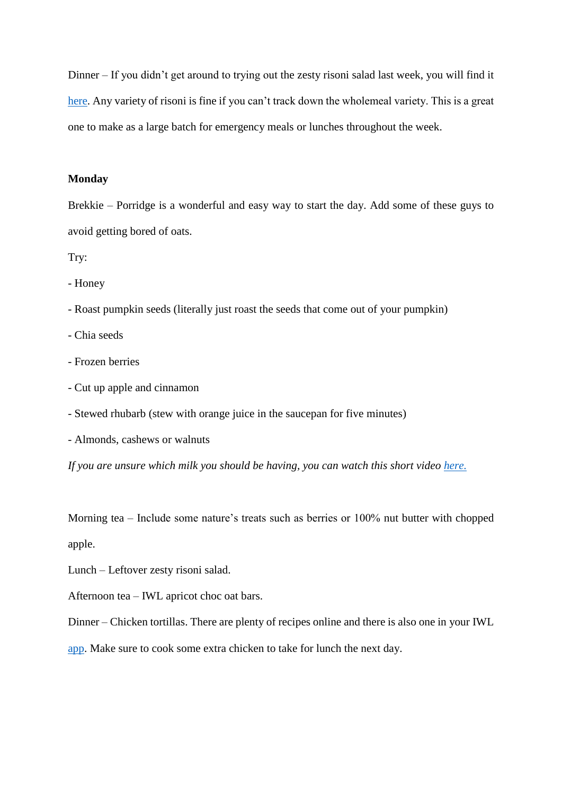Dinner – If you didn't get around to trying out the zesty risoni salad last week, you will find it [here.](https://www.youtube.com/watch?v=KNoehGOCOvA&list=PL-ut39K0QUW2ImUlvO1IRh1fGj7J5KrL7&index=4&t=0s) Any variety of risoni is fine if you can't track down the wholemeal variety. This is a great one to make as a large batch for emergency meals or lunches throughout the week.

### **Monday**

Brekkie – Porridge is a wonderful and easy way to start the day. Add some of these guys to avoid getting bored of oats.

Try:

- Honey

- Roast pumpkin seeds (literally just roast the seeds that come out of your pumpkin)
- Chia seeds
- Frozen berries
- Cut up apple and cinnamon
- Stewed rhubarb (stew with orange juice in the saucepan for five minutes)

- Almonds, cashews or walnuts

If you are unsure which milk you should be having, you can watch this short video [here.](https://www.youtube.com/watch?v=UuoF4PSwSAc)

Morning tea – Include some nature's treats such as berries or 100% nut butter with chopped apple.

Lunch – Leftover zesty risoni salad.

Afternoon tea – IWL apricot choc oat bars.

Dinner – Chicken tortillas. There are plenty of recipes online and there is also one in your IWL

[app.](http://www.intervalweightloss.com/) Make sure to cook some extra chicken to take for lunch the next day.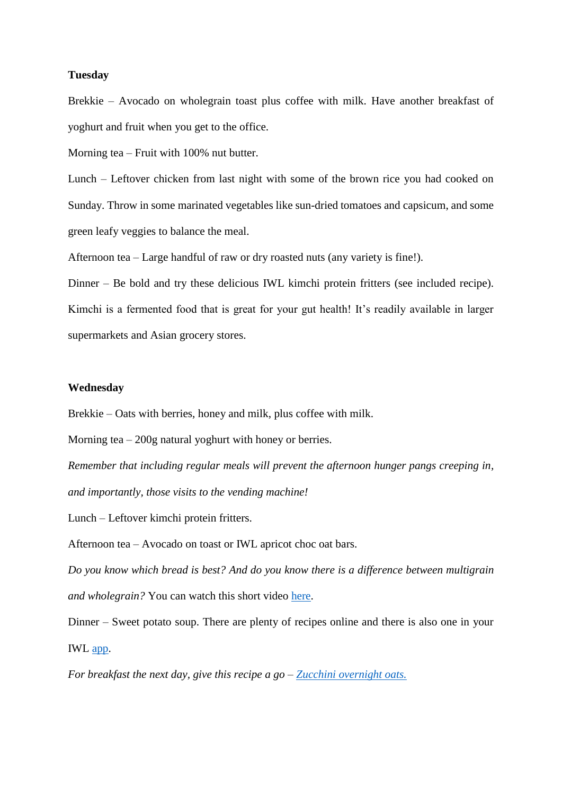### **Tuesday**

Brekkie – Avocado on wholegrain toast plus coffee with milk. Have another breakfast of yoghurt and fruit when you get to the office.

Morning tea – Fruit with 100% nut butter.

Lunch – Leftover chicken from last night with some of the brown rice you had cooked on Sunday. Throw in some marinated vegetables like sun-dried tomatoes and capsicum, and some green leafy veggies to balance the meal.

Afternoon tea – Large handful of raw or dry roasted nuts (any variety is fine!).

Dinner – Be bold and try these delicious IWL kimchi protein fritters (see included recipe). Kimchi is a fermented food that is great for your gut health! It's readily available in larger supermarkets and Asian grocery stores.

## **Wednesday**

Brekkie – Oats with berries, honey and milk, plus coffee with milk.

Morning tea – 200g natural yoghurt with honey or berries.

*Remember that including regular meals will prevent the afternoon hunger pangs creeping in, and importantly, those visits to the vending machine!*

Lunch – Leftover kimchi protein fritters.

Afternoon tea – Avocado on toast or IWL apricot choc oat bars.

*Do you know which bread is best? And do you know there is a difference between multigrain and wholegrain?* You can watch this short video [here.](https://www.youtube.com/watch?v=QzjarJDgeWI)

Dinner – Sweet potato soup. There are plenty of recipes online and there is also one in your IWL [app.](http://www.intervalweightloss.com/)

*For breakfast the next day, give this recipe a go – [Zucchini overnight oats.](https://www.youtube.com/watch?v=f4nZY5e8Cuo&list=PL-ut39K0QUW2ImUlvO1IRh1fGj7J5KrL7&index=3&t=0s)*